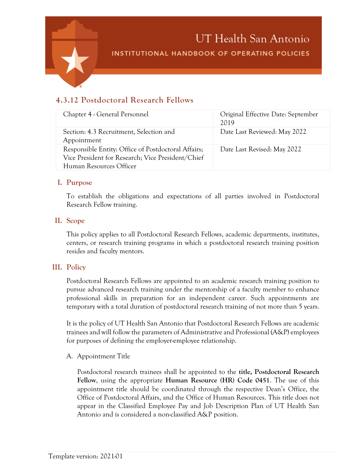

# **4.3.12 Postdoctoral Research Fellows**

| Chapter 4 - General Personnel                                                                                                       | Original Effective Date: September<br>2019 |
|-------------------------------------------------------------------------------------------------------------------------------------|--------------------------------------------|
| Section: 4.3 Recruitment, Selection and<br>Appointment                                                                              | Date Last Reviewed: May 2022               |
| Responsible Entity: Office of Postdoctoral Affairs;<br>Vice President for Research; Vice President/Chief<br>Human Resources Officer | Date Last Revised: May 2022                |

#### **I. Purpose**

To establish the obligations and expectations of all parties involved in Postdoctoral Research Fellow training.

#### **II. Scope**

This policy applies to all Postdoctoral Research Fellows, academic departments, institutes, centers, or research training programs in which a postdoctoral research training position resides and faculty mentors.

#### **III. Policy**

Postdoctoral Research Fellows are appointed to an academic research training position to pursue advanced research training under the mentorship of a faculty member to enhance professional skills in preparation for an independent career. Such appointments are temporary with a total duration of postdoctoral research training of not more than 5 years.

It is the policy of UT Health San Antonio that Postdoctoral Research Fellows are academic trainees and will follow the parameters of Administrative and Professional (A&P) employees for purposes of defining the employer-employee relationship.

#### A. Appointment Title

Postdoctoral research trainees shall be appointed to the **title, Postdoctoral Research Fellow**, using the appropriate **Human Resource (HR) Code 0451**. The use of this appointment title should be coordinated through the respective Dean's Office, the Office of Postdoctoral Affairs, and the Office of Human Resources. This title does not appear in the Classified Employee Pay and Job Description Plan of UT Health San Antonio and is considered a non-classified A&P position.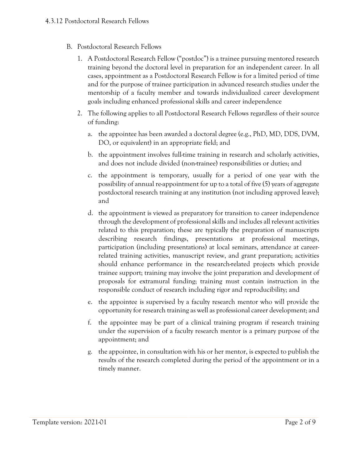- B. Postdoctoral Research Fellows
	- 1. A Postdoctoral Research Fellow ("postdoc") is a trainee pursuing mentored research training beyond the doctoral level in preparation for an independent career. In all cases, appointment as a Postdoctoral Research Fellow is for a limited period of time and for the purpose of trainee participation in advanced research studies under the mentorship of a faculty member and towards individualized career development goals including enhanced professional skills and career independence
	- 2. The following applies to all Postdoctoral Research Fellows regardless of their source of funding:
		- a. the appointee has been awarded a doctoral degree (e.g., PhD, MD, DDS, DVM, DO, or equivalent) in an appropriate field; and
		- b. the appointment involves full-time training in research and scholarly activities, and does not include divided (non-trainee) responsibilities or duties; and
		- c. the appointment is temporary, usually for a period of one year with the possibility of annual re-appointment for up to a total of five (5) years of aggregate postdoctoral research training at any institution (not including approved leave); and
		- d. the appointment is viewed as preparatory for transition to career independence through the development of professional skills and includes all relevant activities related to this preparation; these are typically the preparation of manuscripts describing research findings, presentations at professional meetings, participation (including presentations) at local seminars, attendance at careerrelated training activities, manuscript review, and grant preparation; activities should enhance performance in the research-related projects which provide trainee support; training may involve the joint preparation and development of proposals for extramural funding; training must contain instruction in the responsible conduct of research including rigor and reproducibility; and
		- e. the appointee is supervised by a faculty research mentor who will provide the opportunity for research training as well as professional career development; and
		- f. the appointee may be part of a clinical training program if research training under the supervision of a faculty research mentor is a primary purpose of the appointment; and
		- g. the appointee, in consultation with his or her mentor, is expected to publish the results of the research completed during the period of the appointment or in a timely manner.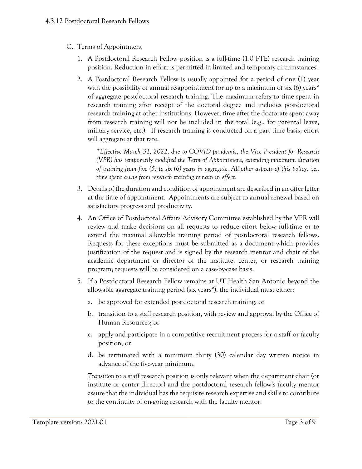- C. Terms of Appointment
	- 1. A Postdoctoral Research Fellow position is a full-time (1.0 FTE) research training position. Reduction in effort is permitted in limited and temporary circumstances.
	- 2. A Postdoctoral Research Fellow is usually appointed for a period of one (1) year with the possibility of annual re-appointment for up to a maximum of six (6) years<sup>\*</sup> of aggregate postdoctoral research training. The maximum refers to time spent in research training after receipt of the doctoral degree and includes postdoctoral research training at other institutions. However, time after the doctorate spent away from research training will not be included in the total (e.g., for parental leave, military service, etc.). If research training is conducted on a part time basis, effort will aggregate at that rate.

*\*Effective March 31, 2022, due to COVID pandemic, the Vice President for Research (VPR) has temporarily modified the Term of Appointment, extending maximum duration of training from five (5) to six (6) years in aggregate. All other aspects of this policy, i.e., time spent away from research training remain in effect.*

- 3. Details of the duration and condition of appointment are described in an offer letter at the time of appointment. Appointments are subject to annual renewal based on satisfactory progress and productivity.
- 4. An Office of Postdoctoral Affairs Advisory Committee established by the VPR will review and make decisions on all requests to reduce effort below full-time or to extend the maximal allowable training period of postdoctoral research fellows. Requests for these exceptions must be submitted as a document which provides justification of the request and is signed by the research mentor and chair of the academic department or director of the institute, center, or research training program; requests will be considered on a case-by-case basis.
- 5. If a Postdoctoral Research Fellow remains at UT Health San Antonio beyond the allowable aggregate training period (six years\*), the individual must either:
	- a. be approved for extended postdoctoral research training; or
	- b. transition to a staff research position, with review and approval by the Office of Human Resources; or
	- c. apply and participate in a competitive recruitment process for a staff or faculty position; or
	- d. be terminated with a minimum thirty (30) calendar day written notice in advance of the five-year minimum.

*Transition* to a staff research position is only relevant when the department chair (or institute or center director) and the postdoctoral research fellow's faculty mentor assure that the individual has the requisite research expertise and skills to contribute to the continuity of on-going research with the faculty mentor.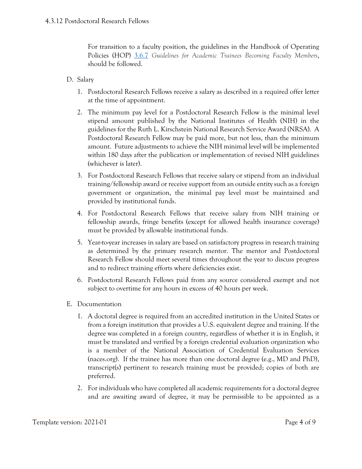For transition to a faculty position, the guidelines in the Handbook of Operating Policies (HOP) [3.6.7](https://uthealthsa.sharepoint.com/RAC/Documents/HOP/Chapter03/3.6.7.pdf) *Guidelines for Academic Trainees Becoming Faculty Members*, should be followed.

- D. Salary
	- 1. Postdoctoral Research Fellows receive a salary as described in a required offer letter at the time of appointment.
	- 2. The minimum pay level for a Postdoctoral Research Fellow is the minimal level stipend amount published by the National Institutes of Health (NIH) in the guidelines for the Ruth L. Kirschstein National Research Service Award (NRSA). A Postdoctoral Research Fellow may be paid more, but not less, than the minimum amount. Future adjustments to achieve the NIH minimal level will be implemented within 180 days after the publication or implementation of revised NIH guidelines (whichever is later).
	- 3. For Postdoctoral Research Fellows that receive salary or stipend from an individual training/fellowship award or receive support from an outside entity such as a foreign government or organization, the minimal pay level must be maintained and provided by institutional funds.
	- 4. For Postdoctoral Research Fellows that receive salary from NIH training or fellowship awards, fringe benefits (except for allowed health insurance coverage) must be provided by allowable institutional funds.
	- 5. Year-to-year increases in salary are based on satisfactory progress in research training as determined by the primary research mentor. The mentor and Postdoctoral Research Fellow should meet several times throughout the year to discuss progress and to redirect training efforts where deficiencies exist.
	- 6. Postdoctoral Research Fellows paid from any source considered exempt and not subject to overtime for any hours in excess of 40 hours per week.
- E. Documentation
	- 1. A doctoral degree is required from an accredited institution in the United States or from a foreign institution that provides a U.S. equivalent degree and training. If the degree was completed in a foreign country, regardless of whether it is in English, it must be translated and verified by a foreign credential evaluation organization who is a member of the National Association of Credential Evaluation Services (naces.org). If the trainee has more than one doctoral degree (e.g., MD and PhD), transcript(s) pertinent to research training must be provided; copies of both are preferred.
	- 2. For individuals who have completed all academic requirements for a doctoral degree and are awaiting award of degree, it may be permissible to be appointed as a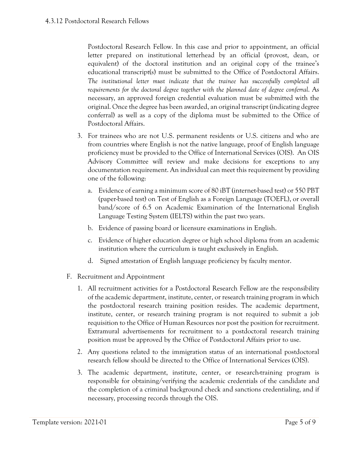Postdoctoral Research Fellow. In this case and prior to appointment, an official letter prepared on institutional letterhead by an official (provost, dean, or equivalent) of the doctoral institution and an original copy of the trainee's educational transcript(s) must be submitted to the Office of Postdoctoral Affairs. The institutional letter must indicate that the trainee has successfully completed all *requirements for the doctoral degree together with the planned date of degree conferral*. As necessary, an approved foreign credential evaluation must be submitted with the original. Once the degree has been awarded, an original transcript (indicating degree conferral) as well as a copy of the diploma must be submitted to the Office of Postdoctoral Affairs.

- 3. For trainees who are not U.S. permanent residents or U.S. citizens and who are from countries where English is not the native language, proof of English language proficiency must be provided to the Office of International Services (OIS). An OIS Advisory Committee will review and make decisions for exceptions to any documentation requirement. An individual can meet this requirement by providing one of the following:
	- a. Evidence of earning a minimum score of 80 iBT (internet-based test) or 550 PBT (paper-based test) on Test of English as a Foreign Language (TOEFL), or overall band/score of 6.5 on Academic Examination of the International English Language Testing System (IELTS) within the past two years.
	- b. Evidence of passing board or licensure examinations in English.
	- c. Evidence of higher education degree or high school diploma from an academic institution where the curriculum is taught exclusively in English.
	- d. Signed attestation of English language proficiency by faculty mentor.
- F. Recruitment and Appointment
	- 1. All recruitment activities for a Postdoctoral Research Fellow are the responsibility of the academic department, institute, center, or research training program in which the postdoctoral research training position resides. The academic department, institute, center, or research training program is not required to submit a job requisition to the Office of Human Resources nor post the position for recruitment. Extramural advertisements for recruitment to a postdoctoral research training position must be approved by the Office of Postdoctoral Affairs prior to use.
	- 2. Any questions related to the immigration status of an international postdoctoral research fellow should be directed to the Office of International Services (OIS).
	- 3. The academic department, institute, center, or research-training program is responsible for obtaining/verifying the academic credentials of the candidate and the completion of a criminal background check and sanctions credentialing, and if necessary, processing records through the OIS.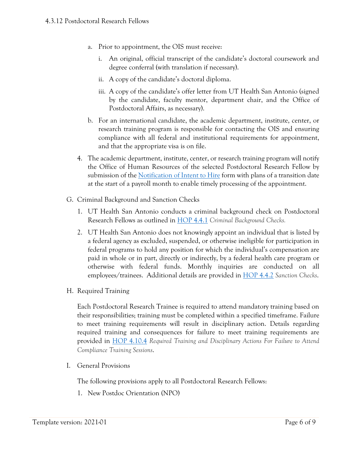- a. Prior to appointment, the OIS must receive:
	- i. An original, official transcript of the candidate's doctoral coursework and degree conferral (with translation if necessary).
	- ii. A copy of the candidate's doctoral diploma.
	- iii. A copy of the candidate's offer letter from UT Health San Antonio (signed by the candidate, faculty mentor, department chair, and the Office of Postdoctoral Affairs, as necessary).
- b. For an international candidate, the academic department, institute, center, or research training program is responsible for contacting the OIS and ensuring compliance with all federal and institutional requirements for appointment, and that the appropriate visa is on file.
- 4. The academic department, institute, center, or research training program will notify the Office of Human Resources of the selected Postdoctoral Research Fellow by submission of the [Notification of Intent to Hire](https://uthealthsa.sharepoint.com/Forms/HR/Notification%20of%20Intent%20to%20Hire.pdf) form with plans of a transition date at the start of a payroll month to enable timely processing of the appointment.
- G. Criminal Background and Sanction Checks
	- 1. UT Health San Antonio conducts a criminal background check on Postdoctoral Research Fellows as outlined in [HOP 4.4.1](https://uthealthsa.sharepoint.com/RAC/Documents/HOP/Chapter04/4.4.1.pdf) *Criminal Background Checks.*
	- 2. UT Health San Antonio does not knowingly appoint an individual that is listed by a federal agency as excluded, suspended, or otherwise ineligible for participation in federal programs to hold any position for which the individual's compensation are paid in whole or in part, directly or indirectly, by a federal health care program or otherwise with federal funds. Monthly inquiries are conducted on all employees/trainees. Additional details are provided in [HOP 4.4.2](https://uthealthsa.sharepoint.com/RAC/Documents/HOP/Chapter04/4.4.2.pdf) *Sanction Checks*.
- H. Required Training

Each Postdoctoral Research Trainee is required to attend mandatory training based on their responsibilities; training must be completed within a specified timeframe. Failure to meet training requirements will result in disciplinary action. Details regarding required training and consequences for failure to meet training requirements are provided in [HOP 4.10.4](https://uthealthsa.sharepoint.com/RAC/Documents/HOP/Chapter04/4.10.4.pdf) *Required Training and Disciplinary Actions For Failure to Attend Compliance Training Sessions*.

I. General Provisions

The following provisions apply to all Postdoctoral Research Fellows:

1. New Postdoc Orientation (NPO)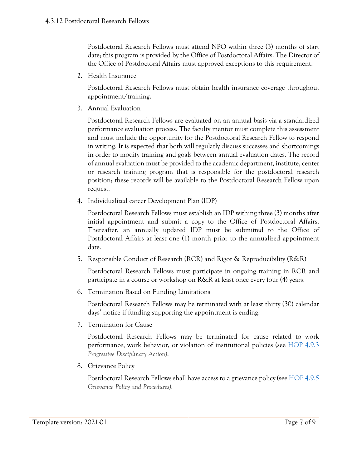Postdoctoral Research Fellows must attend NPO within three (3) months of start date; this program is provided by the Office of Postdoctoral Affairs. The Director of the Office of Postdoctoral Affairs must approved exceptions to this requirement.

2. Health Insurance

Postdoctoral Research Fellows must obtain health insurance coverage throughout appointment/training.

3. Annual Evaluation

Postdoctoral Research Fellows are evaluated on an annual basis via a standardized performance evaluation process. The faculty mentor must complete this assessment and must include the opportunity for the Postdoctoral Research Fellow to respond in writing. It is expected that both will regularly discuss successes and shortcomings in order to modify training and goals between annual evaluation dates. The record of annual evaluation must be provided to the academic department, institute, center or research training program that is responsible for the postdoctoral research position; these records will be available to the Postdoctoral Research Fellow upon request.

4. Individualized career Development Plan (IDP)

Postdoctoral Research Fellows must establish an IDP withing three (3) months after initial appointment and submit a copy to the Office of Postdoctoral Affairs. Thereafter, an annually updated IDP must be submitted to the Office of Postdoctoral Affairs at least one (1) month prior to the annualized appointment date.

5. Responsible Conduct of Research (RCR) and Rigor & Reproducibility (R&R)

Postdoctoral Research Fellows must participate in ongoing training in RCR and participate in a course or workshop on R&R at least once every four (4) years.

6. Termination Based on Funding Limitations

Postdoctoral Research Fellows may be terminated with at least thirty (30) calendar days' notice if funding supporting the appointment is ending.

7. Termination for Cause

Postdoctoral Research Fellows may be terminated for cause related to work performance, work behavior, or violation of institutional policies (see [HOP 4.9.3](https://uthealthsa.sharepoint.com/RAC/Documents/HOP/Chapter04/4.9.3.pdf) *Progressive Disciplinary Action)*.

8. Grievance Policy

Postdoctoral Research Fellows shall have access to a grievance policy (se[e HOP 4.9.5](https://uthealthsa.sharepoint.com/RAC/Documents/HOP/Chapter04/4.9.5.pdf) *Grievance Policy and Procedures).*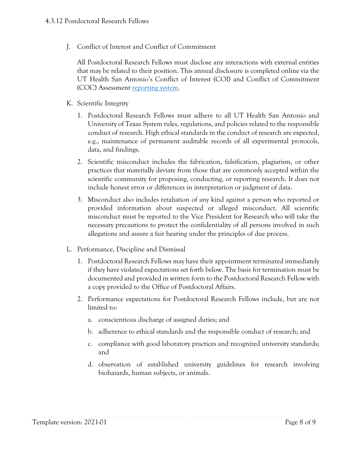J. Conflict of Interest and Conflict of Commitment

All Postdoctoral Research Fellows must disclose any interactions with external entities that may be related to their position. This annual disclosure is completed online via the UT Health San Antonio's Conflict of Interest (COI) and Conflict of Commitment (COC) Assessment <u>reporting system</u>.

- K. Scientific Integrity
	- 1. Postdoctoral Research Fellows must adhere to all UT Health San Antonio and University of Texas System rules, regulations, and policies related to the responsible conduct of research. High ethical standards in the conduct of research are expected, e.g., maintenance of permanent auditable records of all experimental protocols, data, and findings.
	- 2. Scientific misconduct includes the fabrication, falsification, plagiarism, or other practices that materially deviate from those that are commonly accepted within the scientific community for proposing, conducting, or reporting research. It does not include honest error or differences in interpretation or judgment of data.
	- 3. Misconduct also includes retaliation of any kind against a person who reported or provided information about suspected or alleged misconduct. All scientific misconduct must be reported to the Vice President for Research who will take the necessary precautions to protect the confidentiality of all persons involved in such allegations and assure a fair hearing under the principles of due process.
- L. Performance, Discipline and Dismissal
	- 1. Postdoctoral Research Fellows may have their appointment terminated immediately if they have violated expectations set forth below. The basis for termination must be documented and provided in written form to the Postdoctoral Research Fellow with a copy provided to the Office of Postdoctoral Affairs.
	- 2. Performance expectations for Postdoctoral Research Fellows include, but are not limited to:
		- a. conscientious discharge of assigned duties; and
		- b. adherence to ethical standards and the responsible conduct of research; and
		- c. compliance with good laboratory practices and recognized university standards; and
		- d. observation of established university guidelines for research involving biohazards, human subjects, or animals.